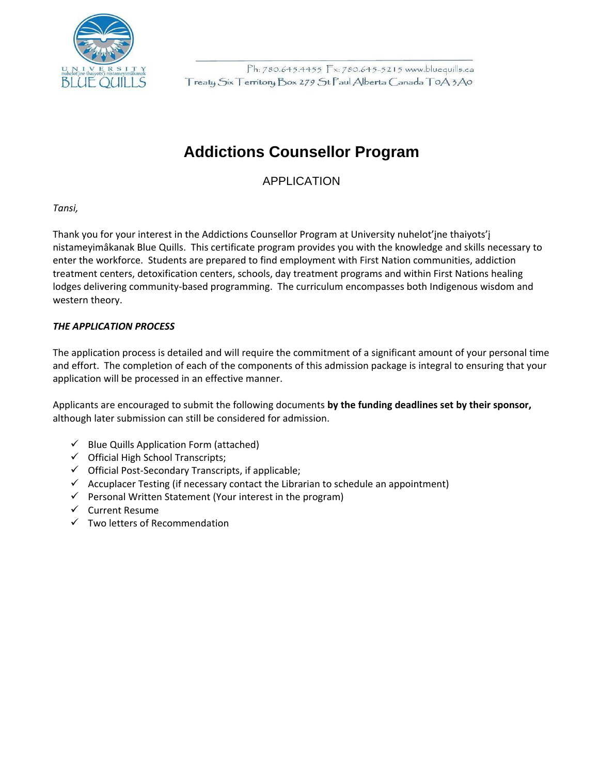

## **Addictions Counsellor Program**

APPLICATION

*Tansi,*

Thank you for your interest in the Addictions Counsellor Program at University nuhelot'įne thaiyots'į nistameyimâkanak Blue Quills. This certificate program provides you with the knowledge and skills necessary to enter the workforce. Students are prepared to find employment with First Nation communities, addiction treatment centers, detoxification centers, schools, day treatment programs and within First Nations healing lodges delivering community-based programming. The curriculum encompasses both Indigenous wisdom and western theory.

#### *THE APPLICATION PROCESS*

The application process is detailed and will require the commitment of a significant amount of your personal time and effort. The completion of each of the components of this admission package is integral to ensuring that your application will be processed in an effective manner.

Applicants are encouraged to submit the following documents **by the funding deadlines set by their sponsor,** although later submission can still be considered for admission.

- $\checkmark$  Blue Quills Application Form (attached)
- ✓ Official High School Transcripts;
- ✓ Official Post-Secondary Transcripts, if applicable;
- $\checkmark$  Accuplacer Testing (if necessary contact the Librarian to schedule an appointment)
- $\checkmark$  Personal Written Statement (Your interest in the program)
- ✓ Current Resume
- $\checkmark$  Two letters of Recommendation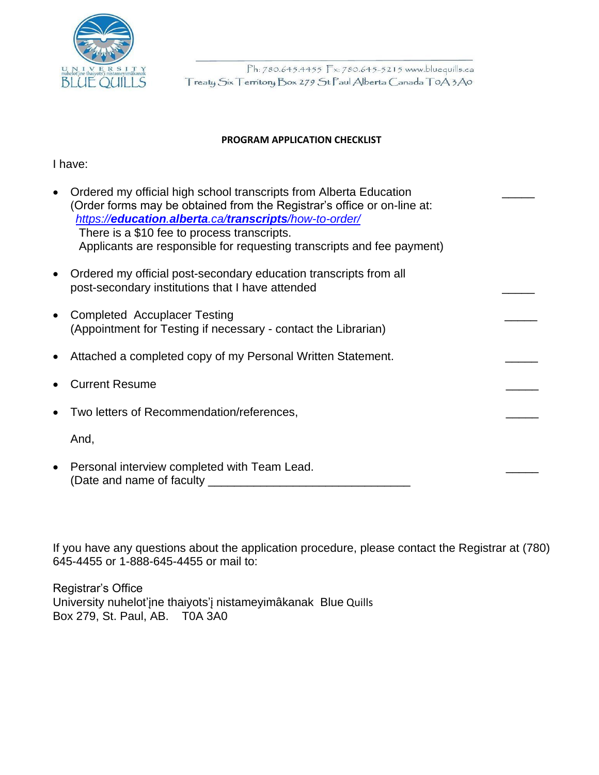

#### **PROGRAM APPLICATION CHECKLIST**

I have:

| Ordered my official high school transcripts from Alberta Education<br>(Order forms may be obtained from the Registrar's office or on-line at:<br>https://education.alberta.ca/transcripts/how-to-order/<br>There is a \$10 fee to process transcripts.<br>Applicants are responsible for requesting transcripts and fee payment) |  |
|----------------------------------------------------------------------------------------------------------------------------------------------------------------------------------------------------------------------------------------------------------------------------------------------------------------------------------|--|
| Ordered my official post-secondary education transcripts from all<br>post-secondary institutions that I have attended                                                                                                                                                                                                            |  |
| <b>Completed Accuplacer Testing</b><br>(Appointment for Testing if necessary - contact the Librarian)                                                                                                                                                                                                                            |  |
| Attached a completed copy of my Personal Written Statement.                                                                                                                                                                                                                                                                      |  |
| <b>Current Resume</b>                                                                                                                                                                                                                                                                                                            |  |
| Two letters of Recommendation/references,                                                                                                                                                                                                                                                                                        |  |
| And,                                                                                                                                                                                                                                                                                                                             |  |
| Personal interview completed with Team Lead.<br>(Date and name of faculty                                                                                                                                                                                                                                                        |  |

If you have any questions about the application procedure, please contact the Registrar at (780) 645-4455 or 1-888-645-4455 or mail to:

Registrar's Office University nuhelot'įne thaiyots'į nistameyimâkanak Blue Quills Box 279, St. Paul, AB. T0A 3A0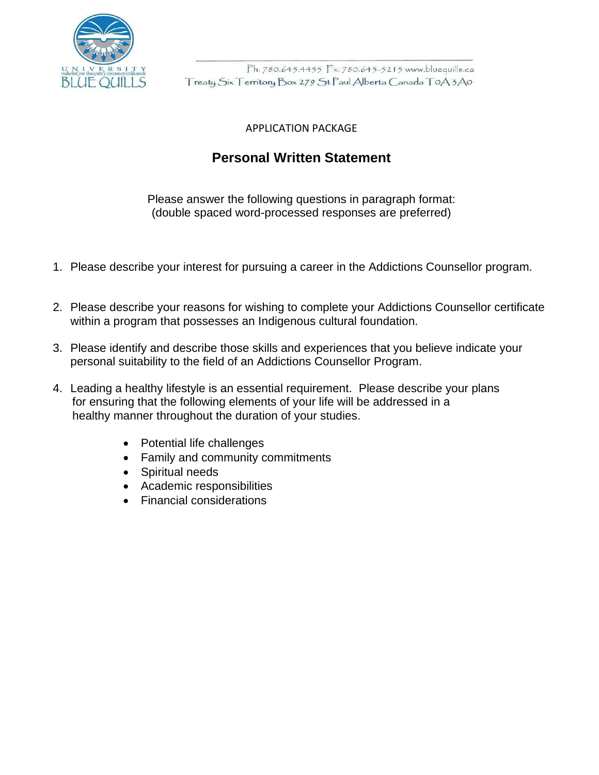

#### APPLICATION PACKAGE

### **Personal Written Statement**

Please answer the following questions in paragraph format: (double spaced word-processed responses are preferred)

- 1. Please describe your interest for pursuing a career in the Addictions Counsellor program.
- 2. Please describe your reasons for wishing to complete your Addictions Counsellor certificate within a program that possesses an Indigenous cultural foundation.
- 3. Please identify and describe those skills and experiences that you believe indicate your personal suitability to the field of an Addictions Counsellor Program.
- 4. Leading a healthy lifestyle is an essential requirement. Please describe your plans for ensuring that the following elements of your life will be addressed in a healthy manner throughout the duration of your studies.
	- Potential life challenges
	- Family and community commitments
	- Spiritual needs
	- Academic responsibilities
	- Financial considerations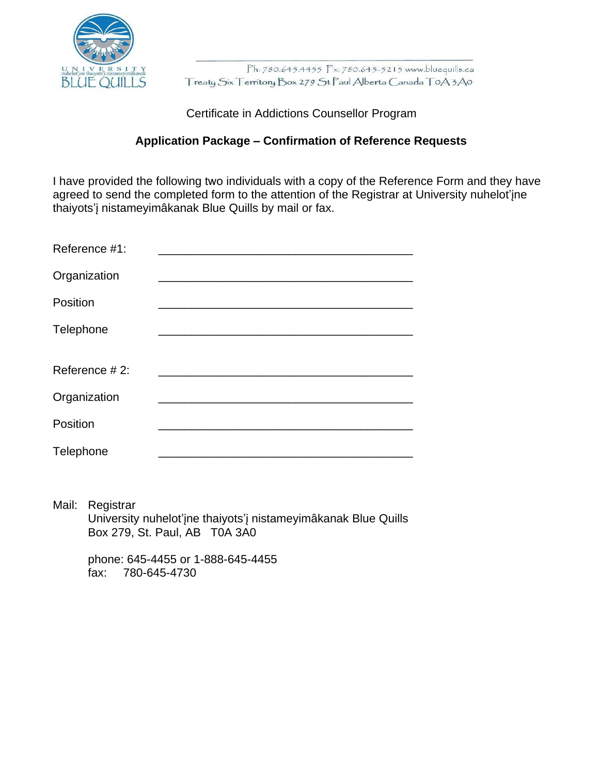

Certificate in Addictions Counsellor Program

#### **Application Package – Confirmation of Reference Requests**

I have provided the following two individuals with a copy of the Reference Form and they have agreed to send the completed form to the attention of the Registrar at University nuhelot'įne thaiyots'į nistameyimâkanak Blue Quills by mail or fax.

| Reference #1: |  |
|---------------|--|
| Organization  |  |
| Position      |  |
| Telephone     |  |
| Reference #2: |  |
| Organization  |  |
| Position      |  |
| Telephone     |  |

Mail: Registrar University nuhelot'įne thaiyots'į nistameyimâkanak Blue Quills Box 279, St. Paul, AB T0A 3A0

phone: 645-4455 or 1-888-645-4455 fax: 780-645-4730